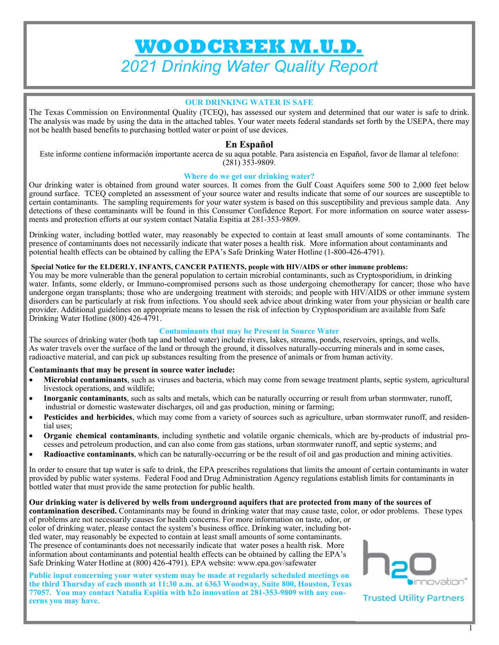# **WOODCREEK M.U.D.**  *2021 Drinking Water Quality Report*

#### **OUR DRINKING WATER IS SAFE**

The Texas Commission on Environmental Quality (TCEQ), has assessed our system and determined that our water is safe to drink. The analysis was made by using the data in the attached tables. Your water meets federal standards set forth by the USEPA, there may not be health based benefits to purchasing bottled water or point of use devices.

#### **En Español**

Este informe contiene información importante acerca de su aqua potable. Para asistencia en Español, favor de llamar al telefono: (281) 353-9809.

#### **Where do we get our drinking water?**

Our drinking water is obtained from ground water sources. It comes from the Gulf Coast Aquifers some 500 to 2,000 feet below ground surface. TCEQ completed an assessment of your source water and results indicate that some of our sources are susceptible to certain contaminants. The sampling requirements for your water system is based on this susceptibility and previous sample data. Any detections of these contaminants will be found in this Consumer Confidence Report. For more information on source water assessments and protection efforts at our system contact Natalia Espitia at 281-353-9809.

Drinking water, including bottled water, may reasonably be expected to contain at least small amounts of some contaminants. The presence of contaminants does not necessarily indicate that water poses a health risk. More information about contaminants and potential health effects can be obtained by calling the EPA's Safe Drinking Water Hotline (1-800-426-4791).

#### **Special Notice for the ELDERLY, INFANTS, CANCER PATIENTS, people with HIV/AIDS or other immune problems:**

You may be more vulnerable than the general population to certain microbial contaminants, such as Cryptosporidium, in drinking water. Infants, some elderly, or Immuno-compromised persons such as those undergoing chemotherapy for cancer; those who have undergone organ transplants; those who are undergoing treatment with steroids; and people with HIV/AIDS or other immune system disorders can be particularly at risk from infections. You should seek advice about drinking water from your physician or health care provider. Additional guidelines on appropriate means to lessen the risk of infection by Cryptosporidium are available from Safe Drinking Water Hotline (800) 426-4791.

#### **Contaminants that may be Present in Source Water**

The sources of drinking water (both tap and bottled water) include rivers, lakes, streams, ponds, reservoirs, springs, and wells. As water travels over the surface of the land or through the ground, it dissolves naturally-occurring minerals and in some cases, radioactive material, and can pick up substances resulting from the presence of animals or from human activity.

#### **Contaminants that may be present in source water include:**

- **Microbial contaminants**, such as viruses and bacteria, which may come from sewage treatment plants, septic system, agricultural livestock operations, and wildlife;
- **Inorganic contaminants**, such as salts and metals, which can be naturally occurring or result from urban stormwater, runoff, industrial or domestic wastewater discharges, oil and gas production, mining or farming;
- **Pesticides and herbicides**, which may come from a variety of sources such as agriculture, urban stormwater runoff, and residential uses;
- **Organic chemical contaminants**, including synthetic and volatile organic chemicals, which are by-products of industrial processes and petroleum production, and can also come from gas stations, urban stormwater runoff, and septic systems; and
- **Radioactive contaminants**, which can be naturally-occurring or be the result of oil and gas production and mining activities.

In order to ensure that tap water is safe to drink, the EPA prescribes regulations that limits the amount of certain contaminants in water provided by public water systems. Federal Food and Drug Administration Agency regulations establish limits for contaminants in bottled water that must provide the same protection for public health.

#### **Our drinking water is delivered by wells from underground aquifers that are protected from many of the sources of**

**contamination described.** Contaminants may be found in drinking water that may cause taste, color, or odor problems. These types of problems are not necessarily causes for health concerns. For more information on taste, odor, or

color of drinking water, please contact the system's business office. Drinking water, including bottled water, may reasonably be expected to contain at least small amounts of some contaminants. The presence of contaminants does not necessarily indicate that water poses a health risk. More information about contaminants and potential health effects can be obtained by calling the EPA's Safe Drinking Water Hotline at (800) 426-4791). EPA website: www.epa.gov/safewater

**Public input concerning your water system may be made at regularly scheduled meetings on the third Thursday of each month at 11:30 a.m. at 6363 Woodway, Suite 800, Houston, Texas 77057. You may contact Natalia Espitia with h2o innovation at 281-353-9809 with any concerns you may have.** 



**Trusted Utility Partners**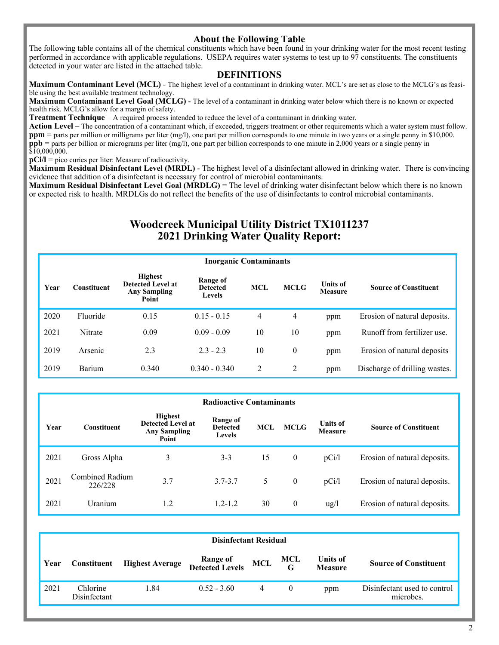#### **About the Following Table**

The following table contains all of the chemical constituents which have been found in your drinking water for the most recent testing performed in accordance with applicable regulations. USEPA requires water systems to test up to 97 constituents. The constituents detected in your water are listed in the attached table.

#### **DEFINITIONS**

**Maximum Contaminant Level (MCL)** - The highest level of a contaminant in drinking water. MCL's are set as close to the MCLG's as feasible using the best available treatment technology.

**Maximum Contaminant Level Goal (MCLG)** - The level of a contaminant in drinking water below which there is no known or expected health risk. MCLG's allow for a margin of safety.

**Treatment Technique** – A required process intended to reduce the level of a contaminant in drinking water.

Action Level – The concentration of a contaminant which, if exceeded, triggers treatment or other requirements which a water system must follow. **ppm** = parts per million or milligrams per liter (mg/l), one part per million corresponds to one minute in two years or a single penny in \$10,000. **ppb** = parts per billion or micrograms per liter (mg/l), one part per billion corresponds to one minute in 2,000 years or a single penny in  $$10,000,000.$ 

**pCi/l** = pico curies per liter: Measure of radioactivity.

**Maximum Residual Disinfectant Level (MRDL)** - The highest level of a disinfectant allowed in drinking water. There is convincing evidence that addition of a disinfectant is necessary for control of microbial contaminants.

**Maximum Residual Disinfectant Level Goal (MRDLG)** = The level of drinking water disinfectant below which there is no known or expected risk to health. MRDLGs do not reflect the benefits of the use of disinfectants to control microbial contaminants.

### **Woodcreek Municipal Utility District TX1011237 2021 Drinking Water Quality Report:**

| <b>Inorganic Contaminants</b> |             |                                                                     |                                       |                |                  |                                   |                               |  |
|-------------------------------|-------------|---------------------------------------------------------------------|---------------------------------------|----------------|------------------|-----------------------------------|-------------------------------|--|
| Year                          | Constituent | <b>Highest</b><br>Detected Level at<br><b>Any Sampling</b><br>Point | Range of<br><b>Detected</b><br>Levels | <b>MCL</b>     | <b>MCLG</b>      | <b>Units of</b><br><b>Measure</b> | <b>Source of Constituent</b>  |  |
| 2020                          | Fluoride    | 0.15                                                                | $0.15 - 0.15$                         | $\overline{4}$ | 4                | ppm                               | Erosion of natural deposits.  |  |
| 2021                          | Nitrate     | 0.09                                                                | $0.09 - 0.09$                         | 10             | 10               | ppm                               | Runoff from fertilizer use.   |  |
| 2019                          | Arsenic     | 2.3                                                                 | $2.3 - 2.3$                           | 10             | $\boldsymbol{0}$ | ppm                               | Erosion of natural deposits   |  |
| 2019                          | Barium      | 0.340                                                               | $0.340 - 0.340$                       | 2              | 2                | ppm                               | Discharge of drilling wastes. |  |

|      | <b>Radioactive Contaminants</b> |                                                                     |                                              |            |              |                                   |                              |  |
|------|---------------------------------|---------------------------------------------------------------------|----------------------------------------------|------------|--------------|-----------------------------------|------------------------------|--|
| Year | <b>Constituent</b>              | <b>Highest</b><br>Detected Level at<br><b>Any Sampling</b><br>Point | Range of<br><b>Detected</b><br><b>Levels</b> | <b>MCL</b> | <b>MCLG</b>  | <b>Units of</b><br><b>Measure</b> | <b>Source of Constituent</b> |  |
| 2021 | Gross Alpha                     | 3                                                                   | $3 - 3$                                      | 15         | $\theta$     | pCi/l                             | Erosion of natural deposits. |  |
| 2021 | Combined Radium<br>226/228      | 3.7                                                                 | $3.7 - 3.7$                                  | 5          | $\mathbf{0}$ | pCi/l                             | Erosion of natural deposits. |  |
| 2021 | Uranium                         | 1.2                                                                 | $1.2 - 1.2$                                  | 30         | $\theta$     | $\frac{u}{g}$                     | Erosion of natural deposits. |  |

|      | <b>Disinfectant Residual</b> |                        |                                     |   |          |                                   |                                           |  |  |
|------|------------------------------|------------------------|-------------------------------------|---|----------|-----------------------------------|-------------------------------------------|--|--|
| Year | Constituent                  | <b>Highest Average</b> | Range of MCL<br>Detected Levels MCL |   | MCL<br>G | <b>Units of</b><br><b>Measure</b> | <b>Source of Constituent</b>              |  |  |
| 2021 | Chlorine<br>Disinfectant     | 1.84                   | $0.52 - 3.60$                       | 4 |          | ppm                               | Disinfectant used to control<br>microbes. |  |  |